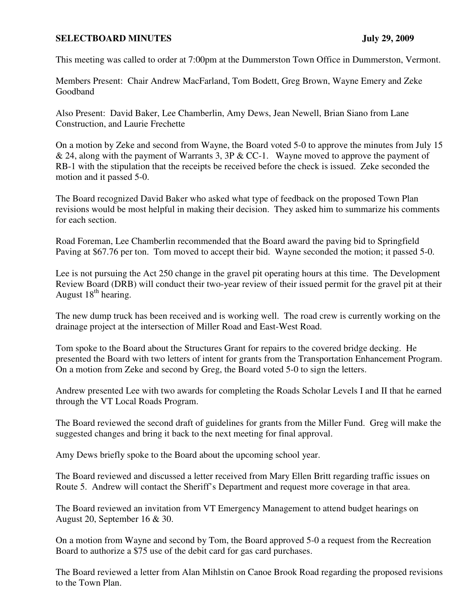## **SELECTBOARD MINUTES** July 29, 2009

This meeting was called to order at 7:00pm at the Dummerston Town Office in Dummerston, Vermont.

Members Present: Chair Andrew MacFarland, Tom Bodett, Greg Brown, Wayne Emery and Zeke Goodband

Also Present: David Baker, Lee Chamberlin, Amy Dews, Jean Newell, Brian Siano from Lane Construction, and Laurie Frechette

On a motion by Zeke and second from Wayne, the Board voted 5-0 to approve the minutes from July 15 & 24, along with the payment of Warrants 3, 3P & CC-1. Wayne moved to approve the payment of RB-1 with the stipulation that the receipts be received before the check is issued. Zeke seconded the motion and it passed 5-0.

The Board recognized David Baker who asked what type of feedback on the proposed Town Plan revisions would be most helpful in making their decision. They asked him to summarize his comments for each section.

Road Foreman, Lee Chamberlin recommended that the Board award the paving bid to Springfield Paving at \$67.76 per ton. Tom moved to accept their bid. Wayne seconded the motion; it passed 5-0.

Lee is not pursuing the Act 250 change in the gravel pit operating hours at this time. The Development Review Board (DRB) will conduct their two-year review of their issued permit for the gravel pit at their August  $18<sup>th</sup>$  hearing.

The new dump truck has been received and is working well. The road crew is currently working on the drainage project at the intersection of Miller Road and East-West Road.

Tom spoke to the Board about the Structures Grant for repairs to the covered bridge decking. He presented the Board with two letters of intent for grants from the Transportation Enhancement Program. On a motion from Zeke and second by Greg, the Board voted 5-0 to sign the letters.

Andrew presented Lee with two awards for completing the Roads Scholar Levels I and II that he earned through the VT Local Roads Program.

The Board reviewed the second draft of guidelines for grants from the Miller Fund. Greg will make the suggested changes and bring it back to the next meeting for final approval.

Amy Dews briefly spoke to the Board about the upcoming school year.

The Board reviewed and discussed a letter received from Mary Ellen Britt regarding traffic issues on Route 5. Andrew will contact the Sheriff's Department and request more coverage in that area.

The Board reviewed an invitation from VT Emergency Management to attend budget hearings on August 20, September 16 & 30.

On a motion from Wayne and second by Tom, the Board approved 5-0 a request from the Recreation Board to authorize a \$75 use of the debit card for gas card purchases.

The Board reviewed a letter from Alan Mihlstin on Canoe Brook Road regarding the proposed revisions to the Town Plan.